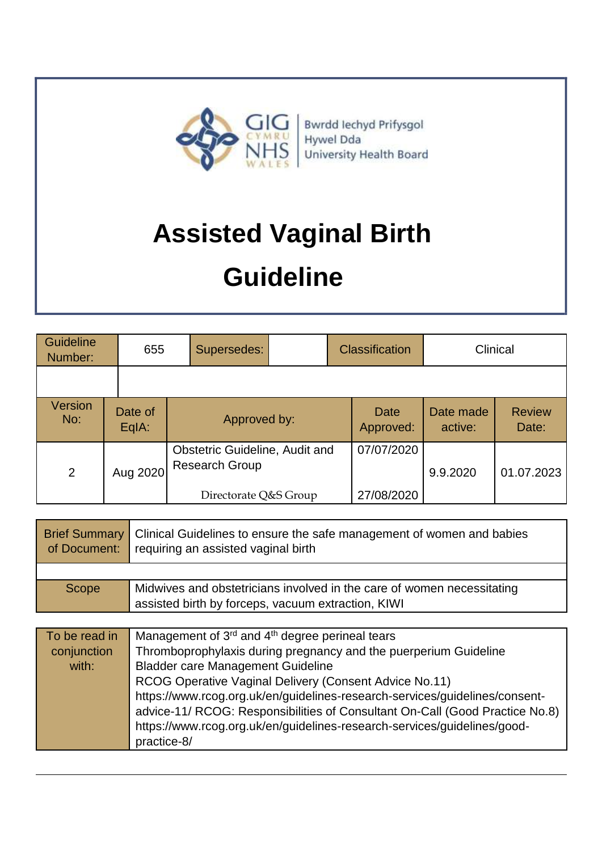

| <b>Guideline</b><br>Number: | 655              | Supersedes:                                                    | <b>Classification</b> |                      | Clinical               |
|-----------------------------|------------------|----------------------------------------------------------------|-----------------------|----------------------|------------------------|
|                             |                  |                                                                |                       |                      |                        |
| Version<br>No:              | Date of<br>EqIA: | Approved by:                                                   | Date<br>Approved:     | Date made<br>active: | <b>Review</b><br>Date: |
| 2                           | Aug 2020         | <b>Obstetric Guideline, Audit and</b><br><b>Research Group</b> | 07/07/2020            | 9.9.2020             | 01.07.2023             |
|                             |                  | Directorate Q&S Group                                          | 27/08/2020            |                      |                        |

| <b>Brief Summary   Clinical Guidelines to ensure the safe management of women and babies</b><br>of Document: requiring an assisted vaginal birth |                                                                                                                              |
|--------------------------------------------------------------------------------------------------------------------------------------------------|------------------------------------------------------------------------------------------------------------------------------|
|                                                                                                                                                  |                                                                                                                              |
| Scope                                                                                                                                            | Midwives and obstetricians involved in the care of women necessitating<br>assisted birth by forceps, vacuum extraction, KIWI |

| To be read in | Management of 3 <sup>rd</sup> and 4 <sup>th</sup> degree perineal tears      |
|---------------|------------------------------------------------------------------------------|
| conjunction   | Thromboprophylaxis during pregnancy and the puerperium Guideline             |
| with:         | <b>Bladder care Management Guideline</b>                                     |
|               | RCOG Operative Vaginal Delivery (Consent Advice No.11)                       |
|               | https://www.rcog.org.uk/en/guidelines-research-services/guidelines/consent-  |
|               | advice-11/ RCOG: Responsibilities of Consultant On-Call (Good Practice No.8) |
|               | https://www.rcog.org.uk/en/guidelines-research-services/guidelines/good-     |
|               | practice-8/                                                                  |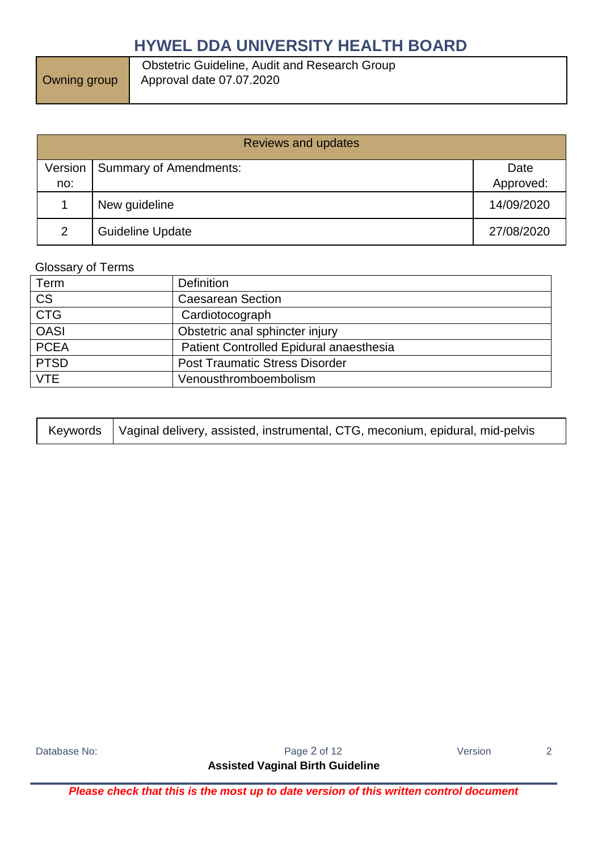Owning group

 Obstetric Guideline, Audit and Research Group Approval date 07.07.2020

| <b>Reviews and updates</b> |                               |            |  |
|----------------------------|-------------------------------|------------|--|
| Version                    | <b>Summary of Amendments:</b> | Date       |  |
| no:                        |                               | Approved:  |  |
|                            | New guideline                 | 14/09/2020 |  |
| 2                          | <b>Guideline Update</b>       | 27/08/2020 |  |

### Glossary of Terms

| Term        | <b>Definition</b>                       |
|-------------|-----------------------------------------|
| <b>CS</b>   | <b>Caesarean Section</b>                |
| <b>CTG</b>  | Cardiotocograph                         |
| <b>OASI</b> | Obstetric anal sphincter injury         |
| <b>PCEA</b> | Patient Controlled Epidural anaesthesia |
| <b>PTSD</b> | <b>Post Traumatic Stress Disorder</b>   |
| <b>VTE</b>  | Venousthromboembolism                   |

|  | Keywords   Vaginal delivery, assisted, instrumental, CTG, meconium, epidural, mid-pelvis |
|--|------------------------------------------------------------------------------------------|
|--|------------------------------------------------------------------------------------------|

Database No: Notice 2 and 2 and 2 and 2 and 2 and 2 and 2 and 2 and 2 and 2 and 2 and 2 and 2 and 2 and 2 and 2 and 2 and 2 and 2 and 2 and 2 and 2 and 2 and 2 and 2 and 2 and 2 and 2 and 2 and 2 and 2 and 2 and 2 and 2 an

**Assisted Vaginal Birth Guideline**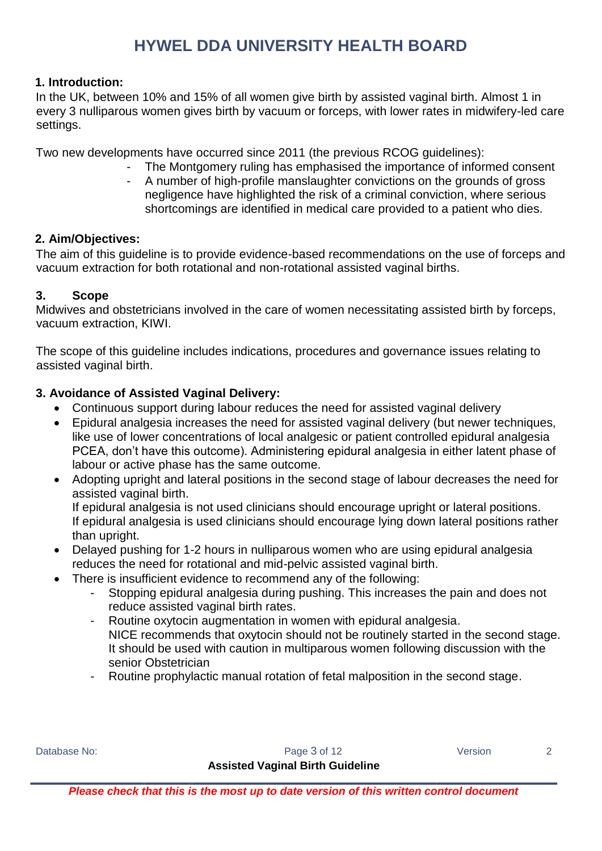### **1. Introduction:**

In the UK, between 10% and 15% of all women give birth by assisted vaginal birth. Almost 1 in every 3 nulliparous women gives birth by vacuum or forceps, with lower rates in midwifery-led care settings.

Two new developments have occurred since 2011 (the previous RCOG guidelines):

- The Montgomery ruling has emphasised the importance of informed consent
- A number of high-profile manslaughter convictions on the grounds of gross negligence have highlighted the risk of a criminal conviction, where serious shortcomings are identified in medical care provided to a patient who dies.

### **2. Aim/Objectives:**

The aim of this guideline is to provide evidence-based recommendations on the use of forceps and vacuum extraction for both rotational and non-rotational assisted vaginal births.

### **3. Scope**

Midwives and obstetricians involved in the care of women necessitating assisted birth by forceps, vacuum extraction, KIWI.

The scope of this guideline includes indications, procedures and governance issues relating to assisted vaginal birth.

### **3. Avoidance of Assisted Vaginal Delivery:**

- Continuous support during labour reduces the need for assisted vaginal delivery
- Epidural analgesia increases the need for assisted vaginal delivery (but newer techniques, like use of lower concentrations of local analgesic or patient controlled epidural analgesia PCEA, don't have this outcome). Administering epidural analgesia in either latent phase of labour or active phase has the same outcome.
- Adopting upright and lateral positions in the second stage of labour decreases the need for assisted vaginal birth. If epidural analgesia is not used clinicians should encourage upright or lateral positions. If epidural analgesia is used clinicians should encourage lying down lateral positions rather than upright.
- Delayed pushing for 1-2 hours in nulliparous women who are using epidural analgesia reduces the need for rotational and mid-pelvic assisted vaginal birth.
- There is insufficient evidence to recommend any of the following:
	- Stopping epidural analgesia during pushing. This increases the pain and does not reduce assisted vaginal birth rates.
	- Routine oxytocin augmentation in women with epidural analgesia. NICE recommends that oxytocin should not be routinely started in the second stage. It should be used with caution in multiparous women following discussion with the senior Obstetrician
	- Routine prophylactic manual rotation of fetal malposition in the second stage.

Database No: 2

### **Assisted Vaginal Birth Guideline**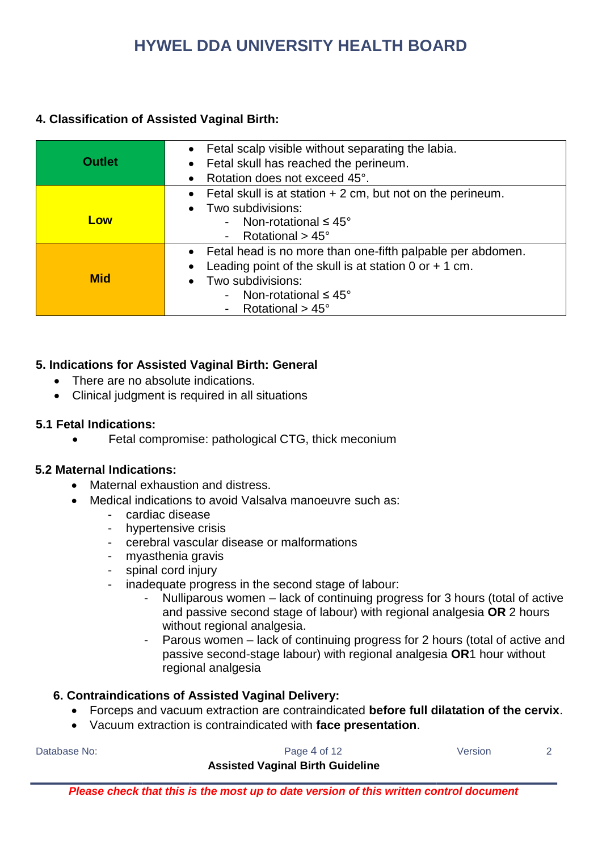### **4. Classification of Assisted Vaginal Birth:**

| <b>Outlet</b> | • Fetal scalp visible without separating the labia.<br>Fetal skull has reached the perineum.<br>Rotation does not exceed 45°.                                                                                          |
|---------------|------------------------------------------------------------------------------------------------------------------------------------------------------------------------------------------------------------------------|
| Low           | Fetal skull is at station $+2$ cm, but not on the perineum.<br>Two subdivisions:<br>- Non-rotational $\leq 45^{\circ}$<br>- Rotational $>$ 45 $^{\circ}$                                                               |
| <b>Mid</b>    | • Fetal head is no more than one-fifth palpable per abdomen.<br>Leading point of the skull is at station $0$ or $+$ 1 cm.<br>Two subdivisions:<br>- Non-rotational $\leq 45^{\circ}$<br>- Rotational $>$ 45 $^{\circ}$ |

### **5. Indications for Assisted Vaginal Birth: General**

- There are no absolute indications.
- Clinical judgment is required in all situations

#### **5.1 Fetal Indications:**

**•** Fetal compromise: pathological CTG, thick meconium

#### **5.2 Maternal Indications:**

- Maternal exhaustion and distress.
- Medical indications to avoid Valsalva manoeuvre such as:
	- cardiac disease
	- hypertensive crisis
	- cerebral vascular disease or malformations
	- myasthenia gravis
	- spinal cord injury
	- inadequate progress in the second stage of labour:
		- Nulliparous women lack of continuing progress for 3 hours (total of active and passive second stage of labour) with regional analgesia **OR** 2 hours without regional analgesia.
		- Parous women lack of continuing progress for 2 hours (total of active and passive second-stage labour) with regional analgesia **OR**1 hour without regional analgesia

#### **6. Contraindications of Assisted Vaginal Delivery:**

- Forceps and vacuum extraction are contraindicated **before full dilatation of the cervix**.
- Vacuum extraction is contraindicated with **face presentation**.

Database No: 2

#### **Assisted Vaginal Birth Guideline**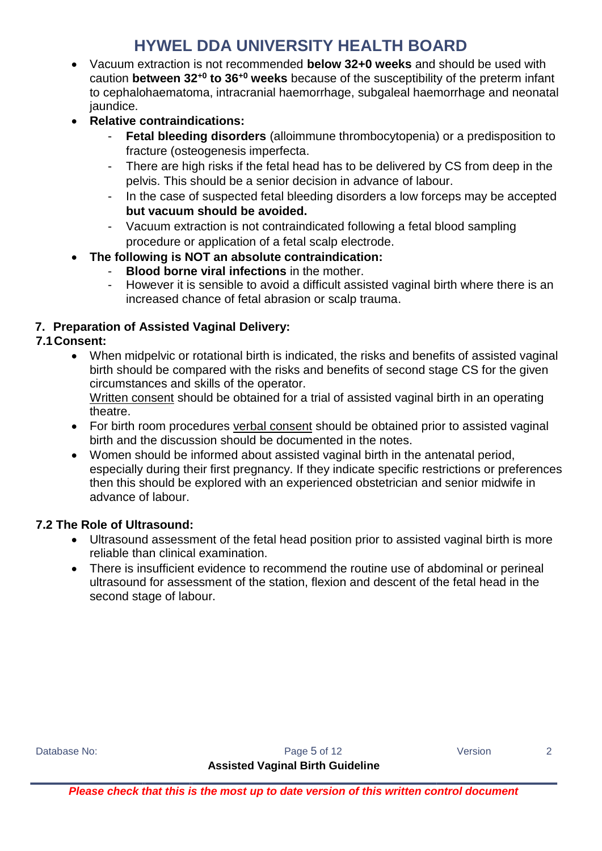- Vacuum extraction is not recommended **below 32+0 weeks** and should be used with caution **between 32+0 to 36+0 weeks** because of the susceptibility of the preterm infant to cephalohaematoma, intracranial haemorrhage, subgaleal haemorrhage and neonatal jaundice.
- **Relative contraindications:**
	- **Fetal bleeding disorders** (alloimmune thrombocytopenia) or a predisposition to fracture (osteogenesis imperfecta.
	- There are high risks if the fetal head has to be delivered by CS from deep in the pelvis. This should be a senior decision in advance of labour.
	- In the case of suspected fetal bleeding disorders a low forceps may be accepted **but vacuum should be avoided.**
	- Vacuum extraction is not contraindicated following a fetal blood sampling procedure or application of a fetal scalp electrode.
- **The following is NOT an absolute contraindication:** 
	- **Blood borne viral infections** in the mother.
	- However it is sensible to avoid a difficult assisted vaginal birth where there is an increased chance of fetal abrasion or scalp trauma.

### **7. Preparation of Assisted Vaginal Delivery:**

### **7.1Consent:**

 When midpelvic or rotational birth is indicated, the risks and benefits of assisted vaginal birth should be compared with the risks and benefits of second stage CS for the given circumstances and skills of the operator.

Written consent should be obtained for a trial of assisted vaginal birth in an operating theatre.

- For birth room procedures verbal consent should be obtained prior to assisted vaginal birth and the discussion should be documented in the notes.
- Women should be informed about assisted vaginal birth in the antenatal period, especially during their first pregnancy. If they indicate specific restrictions or preferences then this should be explored with an experienced obstetrician and senior midwife in advance of labour.

### **7.2 The Role of Ultrasound:**

- Ultrasound assessment of the fetal head position prior to assisted vaginal birth is more reliable than clinical examination.
- There is insufficient evidence to recommend the routine use of abdominal or perineal ultrasound for assessment of the station, flexion and descent of the fetal head in the second stage of labour.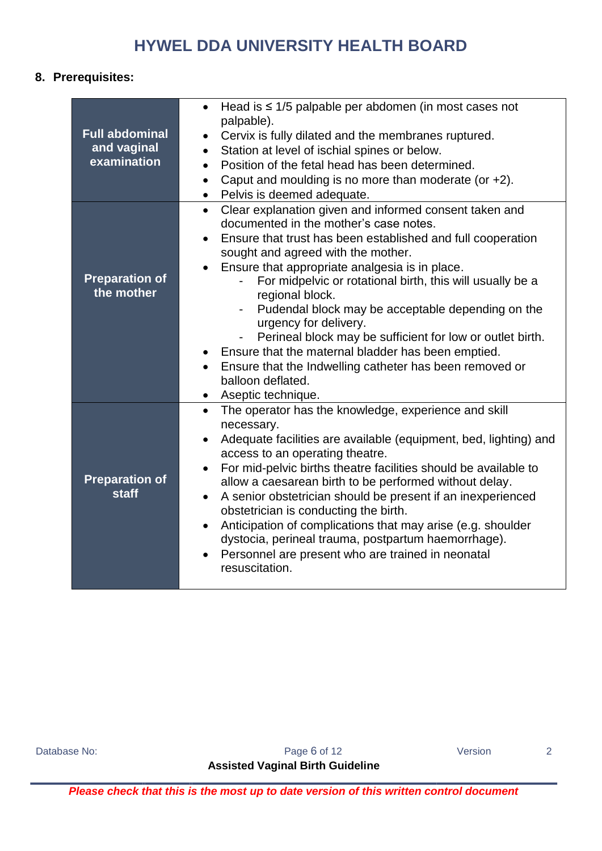### **8. Prerequisites:**

| <b>Full abdominal</b><br>and vaginal<br>examination | Head is $\leq$ 1/5 palpable per abdomen (in most cases not<br>$\bullet$<br>palpable).<br>Cervix is fully dilated and the membranes ruptured.<br>Station at level of ischial spines or below.<br>$\bullet$<br>Position of the fetal head has been determined.<br>$\bullet$<br>Caput and moulding is no more than moderate (or +2).<br>$\bullet$<br>Pelvis is deemed adequate.<br>$\bullet$                                                                                                                                                                                                                                                                                                               |
|-----------------------------------------------------|---------------------------------------------------------------------------------------------------------------------------------------------------------------------------------------------------------------------------------------------------------------------------------------------------------------------------------------------------------------------------------------------------------------------------------------------------------------------------------------------------------------------------------------------------------------------------------------------------------------------------------------------------------------------------------------------------------|
| <b>Preparation of</b><br>the mother                 | Clear explanation given and informed consent taken and<br>$\bullet$<br>documented in the mother's case notes.<br>Ensure that trust has been established and full cooperation<br>$\bullet$<br>sought and agreed with the mother.<br>Ensure that appropriate analgesia is in place.<br>For midpelvic or rotational birth, this will usually be a<br>regional block.<br>Pudendal block may be acceptable depending on the<br>$\blacksquare$<br>urgency for delivery.<br>Perineal block may be sufficient for low or outlet birth.<br>Ensure that the maternal bladder has been emptied.<br>Ensure that the Indwelling catheter has been removed or<br>balloon deflated.<br>Aseptic technique.<br>$\bullet$ |
| <b>Preparation of</b><br><b>staff</b>               | The operator has the knowledge, experience and skill<br>$\bullet$<br>necessary.<br>Adequate facilities are available (equipment, bed, lighting) and<br>access to an operating theatre.<br>For mid-pelvic births theatre facilities should be available to<br>$\bullet$<br>allow a caesarean birth to be performed without delay.<br>A senior obstetrician should be present if an inexperienced<br>$\bullet$<br>obstetrician is conducting the birth.<br>Anticipation of complications that may arise (e.g. shoulder<br>$\bullet$<br>dystocia, perineal trauma, postpartum haemorrhage).<br>Personnel are present who are trained in neonatal<br>$\bullet$<br>resuscitation.                            |

Database No: 2

**Assisted Vaginal Birth Guideline**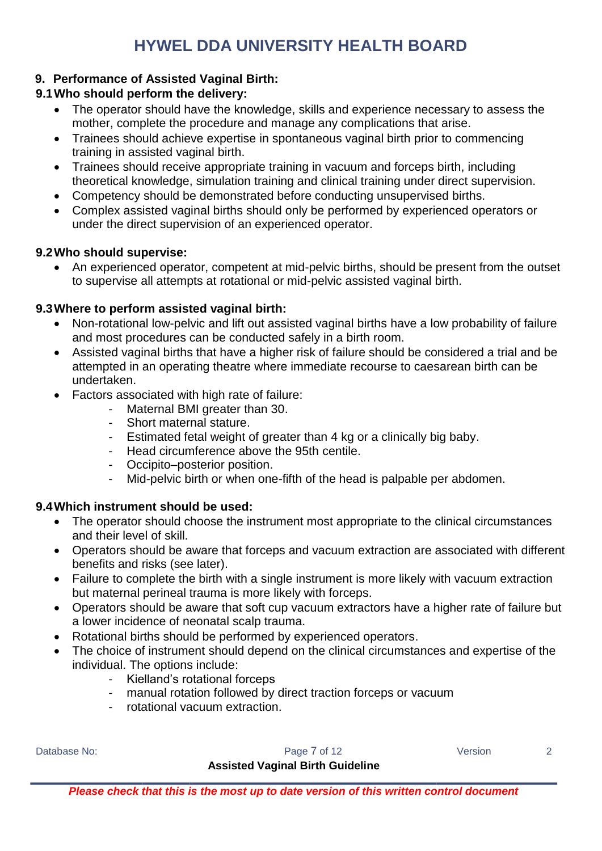### **9. Performance of Assisted Vaginal Birth:**

### **9.1Who should perform the delivery:**

- The operator should have the knowledge, skills and experience necessary to assess the mother, complete the procedure and manage any complications that arise.
- Trainees should achieve expertise in spontaneous vaginal birth prior to commencing training in assisted vaginal birth.
- Trainees should receive appropriate training in vacuum and forceps birth, including theoretical knowledge, simulation training and clinical training under direct supervision.
- Competency should be demonstrated before conducting unsupervised births.
- Complex assisted vaginal births should only be performed by experienced operators or under the direct supervision of an experienced operator.

### **9.2Who should supervise:**

 An experienced operator, competent at mid-pelvic births, should be present from the outset to supervise all attempts at rotational or mid-pelvic assisted vaginal birth.

### **9.3Where to perform assisted vaginal birth:**

- Non-rotational low-pelvic and lift out assisted vaginal births have a low probability of failure and most procedures can be conducted safely in a birth room.
- Assisted vaginal births that have a higher risk of failure should be considered a trial and be attempted in an operating theatre where immediate recourse to caesarean birth can be undertaken.
- Factors associated with high rate of failure:
	- Maternal BMI greater than 30.
	- Short maternal stature.
	- Estimated fetal weight of greater than 4 kg or a clinically big baby.
	- Head circumference above the 95th centile.
	- Occipito–posterior position.
	- Mid-pelvic birth or when one-fifth of the head is palpable per abdomen.

### **9.4Which instrument should be used:**

- The operator should choose the instrument most appropriate to the clinical circumstances and their level of skill.
- Operators should be aware that forceps and vacuum extraction are associated with different benefits and risks (see later).
- Failure to complete the birth with a single instrument is more likely with vacuum extraction but maternal perineal trauma is more likely with forceps.
- Operators should be aware that soft cup vacuum extractors have a higher rate of failure but a lower incidence of neonatal scalp trauma.
- Rotational births should be performed by experienced operators.
- The choice of instrument should depend on the clinical circumstances and expertise of the individual. The options include:
	- Kielland's rotational forceps
	- manual rotation followed by direct traction forceps or vacuum
	- rotational vacuum extraction.

Database No: 2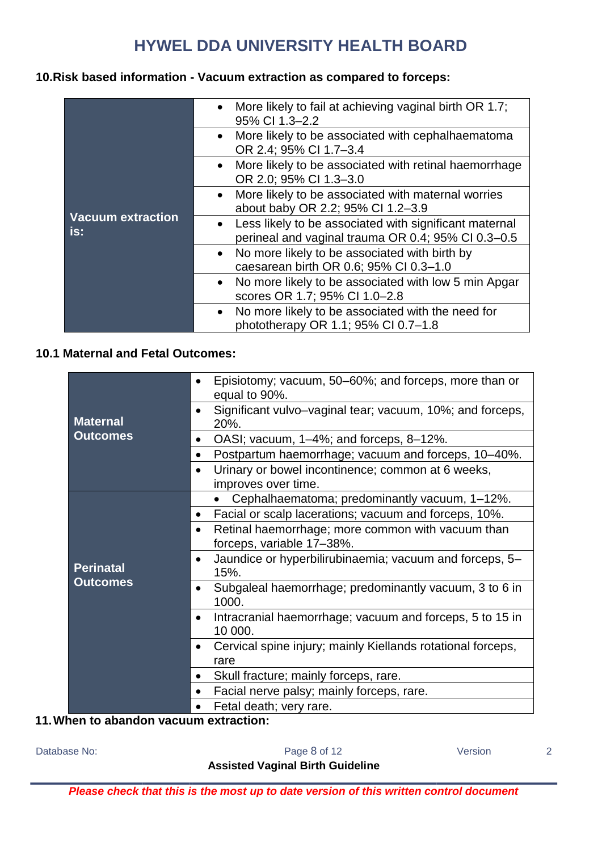### **10.Risk based information - Vacuum extraction as compared to forceps:**

|                                 | More likely to fail at achieving vaginal birth OR 1.7;<br>95% CI 1.3-2.2                                       |
|---------------------------------|----------------------------------------------------------------------------------------------------------------|
|                                 | More likely to be associated with cephalhaematoma<br>$\bullet$<br>OR 2.4; 95% CI 1.7-3.4                       |
|                                 | More likely to be associated with retinal haemorrhage<br>OR 2.0; 95% CI 1.3-3.0                                |
|                                 | More likely to be associated with maternal worries<br>$\bullet$<br>about baby OR 2.2; 95% CI 1.2-3.9           |
| <b>Vacuum extraction</b><br>is: | • Less likely to be associated with significant maternal<br>perineal and vaginal trauma OR 0.4; 95% CI 0.3-0.5 |
|                                 | No more likely to be associated with birth by<br>caesarean birth OR 0.6; 95% CI 0.3-1.0                        |
|                                 | • No more likely to be associated with low 5 min Apgar<br>scores OR 1.7; 95% CI 1.0-2.8                        |
|                                 | No more likely to be associated with the need for<br>$\bullet$<br>phototherapy OR 1.1; 95% CI 0.7-1.8          |

### **10.1 Maternal and Fetal Outcomes:**

|                  | Episiotomy; vacuum, 50–60%; and forceps, more than or<br>equal to 90%.           |
|------------------|----------------------------------------------------------------------------------|
| <b>Maternal</b>  | Significant vulvo-vaginal tear; vacuum, 10%; and forceps,<br>$\bullet$<br>20%.   |
| <b>Outcomes</b>  | OASI; vacuum, 1–4%; and forceps, 8–12%.<br>$\bullet$                             |
|                  | Postpartum haemorrhage; vacuum and forceps, 10-40%.<br>$\bullet$                 |
|                  | Urinary or bowel incontinence; common at 6 weeks,<br>improves over time.         |
|                  | Cephalhaematoma; predominantly vacuum, 1-12%.                                    |
|                  | Facial or scalp lacerations; vacuum and forceps, 10%.<br>$\bullet$               |
|                  | Retinal haemorrhage; more common with vacuum than<br>forceps, variable 17-38%.   |
| <b>Perinatal</b> | Jaundice or hyperbilirubinaemia; vacuum and forceps, 5-<br>$\bullet$<br>15%.     |
| <b>Outcomes</b>  | Subgaleal haemorrhage; predominantly vacuum, 3 to 6 in<br>$\bullet$<br>1000.     |
|                  | Intracranial haemorrhage; vacuum and forceps, 5 to 15 in<br>$\bullet$<br>10 000. |
|                  | Cervical spine injury; mainly Kiellands rotational forceps,<br>٠<br>rare         |
|                  | Skull fracture; mainly forceps, rare.<br>$\bullet$                               |
|                  | Facial nerve palsy; mainly forceps, rare.<br>$\bullet$                           |
|                  | Fetal death; very rare.                                                          |

### **11.When to abandon vacuum extraction:**

Database No: 2

### **Assisted Vaginal Birth Guideline**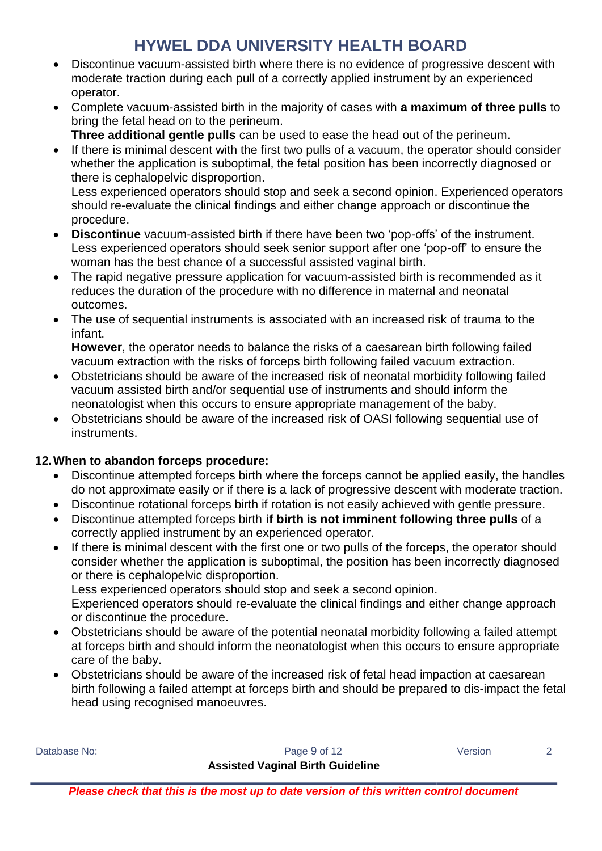- Discontinue vacuum-assisted birth where there is no evidence of progressive descent with moderate traction during each pull of a correctly applied instrument by an experienced operator.
- Complete vacuum-assisted birth in the majority of cases with **a maximum of three pulls** to bring the fetal head on to the perineum.

**Three additional gentle pulls** can be used to ease the head out of the perineum.

 If there is minimal descent with the first two pulls of a vacuum, the operator should consider whether the application is suboptimal, the fetal position has been incorrectly diagnosed or there is cephalopelvic disproportion.

Less experienced operators should stop and seek a second opinion. Experienced operators should re-evaluate the clinical findings and either change approach or discontinue the procedure.

- **Discontinue** vacuum-assisted birth if there have been two 'pop-offs' of the instrument. Less experienced operators should seek senior support after one 'pop-off' to ensure the woman has the best chance of a successful assisted vaginal birth.
- The rapid negative pressure application for vacuum-assisted birth is recommended as it reduces the duration of the procedure with no difference in maternal and neonatal outcomes.
- The use of sequential instruments is associated with an increased risk of trauma to the infant.

**However**, the operator needs to balance the risks of a caesarean birth following failed vacuum extraction with the risks of forceps birth following failed vacuum extraction.

- Obstetricians should be aware of the increased risk of neonatal morbidity following failed vacuum assisted birth and/or sequential use of instruments and should inform the neonatologist when this occurs to ensure appropriate management of the baby.
- Obstetricians should be aware of the increased risk of OASI following sequential use of instruments.

### **12.When to abandon forceps procedure:**

- Discontinue attempted forceps birth where the forceps cannot be applied easily, the handles do not approximate easily or if there is a lack of progressive descent with moderate traction.
- Discontinue rotational forceps birth if rotation is not easily achieved with gentle pressure.
- Discontinue attempted forceps birth **if birth is not imminent following three pulls** of a correctly applied instrument by an experienced operator.
- If there is minimal descent with the first one or two pulls of the forceps, the operator should consider whether the application is suboptimal, the position has been incorrectly diagnosed or there is cephalopelvic disproportion.

Less experienced operators should stop and seek a second opinion.

Experienced operators should re-evaluate the clinical findings and either change approach or discontinue the procedure.

- Obstetricians should be aware of the potential neonatal morbidity following a failed attempt at forceps birth and should inform the neonatologist when this occurs to ensure appropriate care of the baby.
- Obstetricians should be aware of the increased risk of fetal head impaction at caesarean birth following a failed attempt at forceps birth and should be prepared to dis-impact the fetal head using recognised manoeuvres.

Database No: 2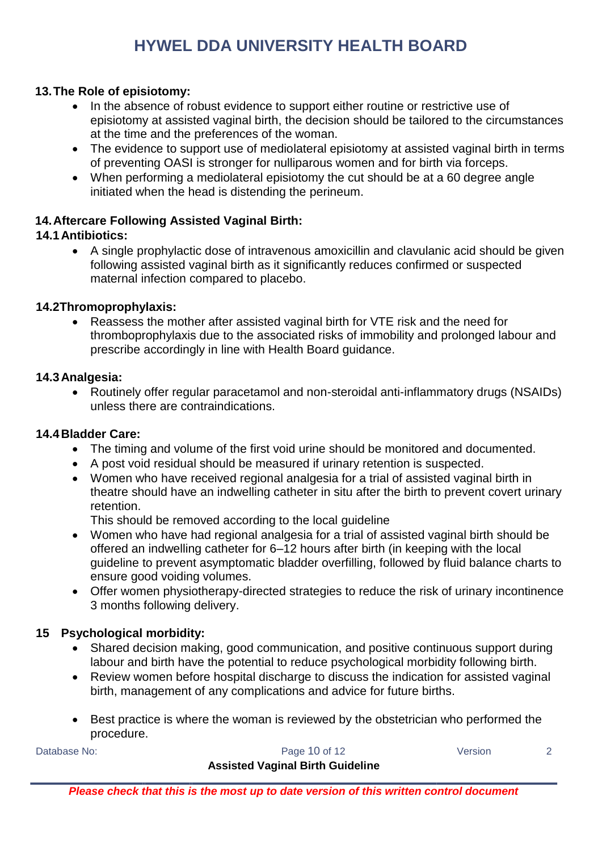### **13.The Role of episiotomy:**

- In the absence of robust evidence to support either routine or restrictive use of episiotomy at assisted vaginal birth, the decision should be tailored to the circumstances at the time and the preferences of the woman.
- The evidence to support use of mediolateral episiotomy at assisted vaginal birth in terms of preventing OASI is stronger for nulliparous women and for birth via forceps.
- When performing a mediolateral episiotomy the cut should be at a 60 degree angle initiated when the head is distending the perineum.

### **14.Aftercare Following Assisted Vaginal Birth:**

### **14.1Antibiotics:**

 A single prophylactic dose of intravenous amoxicillin and clavulanic acid should be given following assisted vaginal birth as it significantly reduces confirmed or suspected maternal infection compared to placebo.

### **14.2Thromoprophylaxis:**

 Reassess the mother after assisted vaginal birth for VTE risk and the need for thromboprophylaxis due to the associated risks of immobility and prolonged labour and prescribe accordingly in line with Health Board guidance.

#### **14.3Analgesia:**

 Routinely offer regular paracetamol and non-steroidal anti-inflammatory drugs (NSAIDs) unless there are contraindications.

#### **14.4Bladder Care:**

- The timing and volume of the first void urine should be monitored and documented.
- A post void residual should be measured if urinary retention is suspected.
- Women who have received regional analgesia for a trial of assisted vaginal birth in theatre should have an indwelling catheter in situ after the birth to prevent covert urinary retention.

This should be removed according to the local guideline

- Women who have had regional analgesia for a trial of assisted vaginal birth should be offered an indwelling catheter for 6–12 hours after birth (in keeping with the local guideline to prevent asymptomatic bladder overfilling, followed by fluid balance charts to ensure good voiding volumes.
- Offer women physiotherapy-directed strategies to reduce the risk of urinary incontinence 3 months following delivery.

### **15 Psychological morbidity:**

- Shared decision making, good communication, and positive continuous support during labour and birth have the potential to reduce psychological morbidity following birth.
- Review women before hospital discharge to discuss the indication for assisted vaginal birth, management of any complications and advice for future births.
- Best practice is where the woman is reviewed by the obstetrician who performed the procedure.

Database No: 2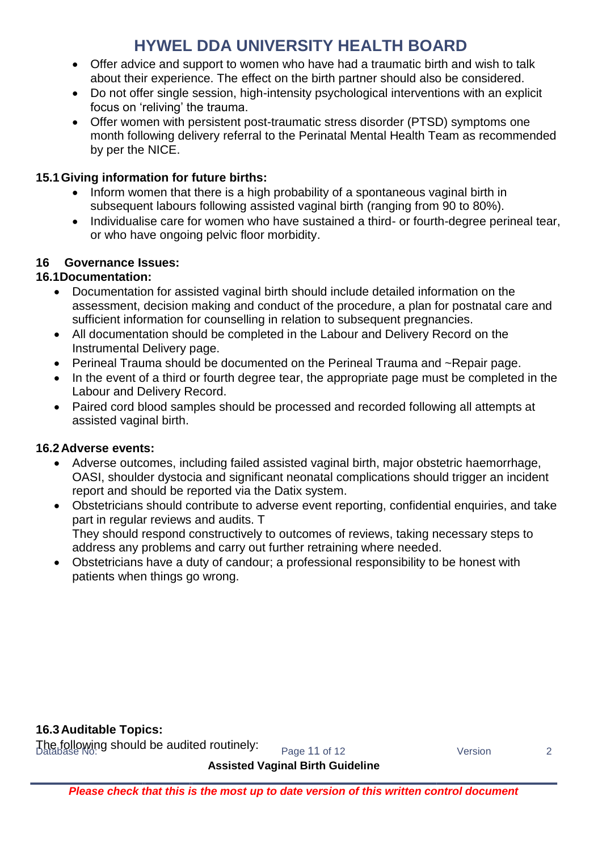- Offer advice and support to women who have had a traumatic birth and wish to talk about their experience. The effect on the birth partner should also be considered.
- Do not offer single session, high-intensity psychological interventions with an explicit focus on 'reliving' the trauma.
- Offer women with persistent post-traumatic stress disorder (PTSD) symptoms one month following delivery referral to the Perinatal Mental Health Team as recommended by per the NICE.

### **15.1Giving information for future births:**

- Inform women that there is a high probability of a spontaneous vaginal birth in subsequent labours following assisted vaginal birth (ranging from 90 to 80%).
- Individualise care for women who have sustained a third- or fourth-degree perineal tear, or who have ongoing pelvic floor morbidity.

### **16 Governance Issues:**

### **16.1Documentation:**

- Documentation for assisted vaginal birth should include detailed information on the assessment, decision making and conduct of the procedure, a plan for postnatal care and sufficient information for counselling in relation to subsequent pregnancies.
- All documentation should be completed in the Labour and Delivery Record on the Instrumental Delivery page.
- Perineal Trauma should be documented on the Perineal Trauma and ~Repair page.
- In the event of a third or fourth degree tear, the appropriate page must be completed in the Labour and Delivery Record.
- Paired cord blood samples should be processed and recorded following all attempts at assisted vaginal birth.

### **16.2Adverse events:**

- Adverse outcomes, including failed assisted vaginal birth, major obstetric haemorrhage, OASI, shoulder dystocia and significant neonatal complications should trigger an incident report and should be reported via the Datix system.
- Obstetricians should contribute to adverse event reporting, confidential enquiries, and take part in regular reviews and audits. T They should respond constructively to outcomes of reviews, taking necessary steps to address any problems and carry out further retraining where needed.
- Obstetricians have a duty of candour; a professional responsibility to be honest with patients when things go wrong.

### **16.3Auditable Topics:**

The following should be audited routinely: <br>Database Wo: 2 Version 2